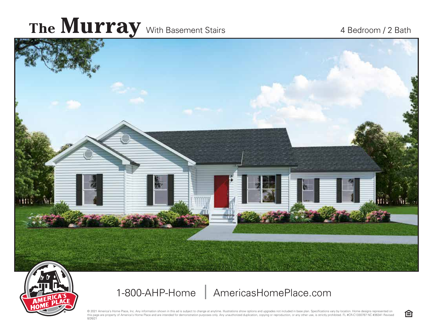## The **Murray** With Basement Stairs 4 Bedroom / 2 Bath



1-800-AHP-Home AmericasHomePlace.com

© 2021 America's Home Place, Inc. Any information shown in this ad is subject to change at anytime. Illustrations show options and upgrades not included in base plan. Specifications vary by location. Home designs represent this page are property of America's Home Place and are intended for demonstration purposes only. Any unauthorized duplication, copying or reproduction, or any other use, is strictly prohibited. FL #CR-C1330787 NC #36341 Re 8/26/21